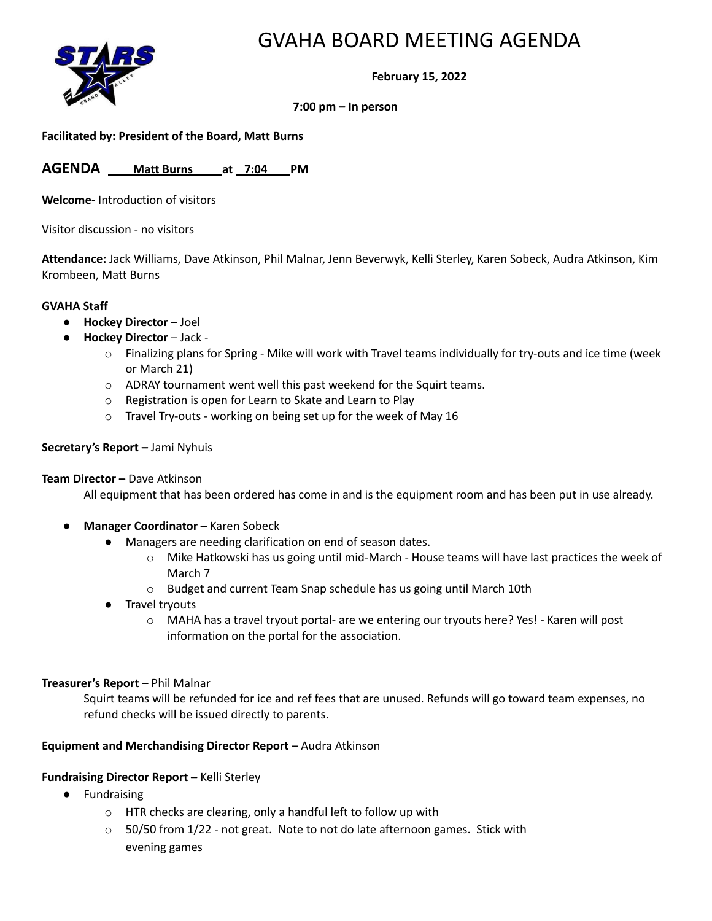

# GVAHA BOARD MEETING AGENDA

**February 15, 2022**

### **7:00 pm – In person**

### **Facilitated by: President of the Board, Matt Burns**

**AGENDA Matt Burns at 7:04 PM**

**Welcome-** Introduction of visitors

Visitor discussion - no visitors

**Attendance:** Jack Williams, Dave Atkinson, Phil Malnar, Jenn Beverwyk, Kelli Sterley, Karen Sobeck, Audra Atkinson, Kim Krombeen, Matt Burns

#### **GVAHA Staff**

- **Hockey Director** Joel
- **Hockey Director** Jack
	- $\circ$  Finalizing plans for Spring Mike will work with Travel teams individually for try-outs and ice time (week or March 21)
	- o ADRAY tournament went well this past weekend for the Squirt teams.
	- o Registration is open for Learn to Skate and Learn to Play
	- o Travel Try-outs working on being set up for the week of May 16

### **Secretary's Report –** Jami Nyhuis

### **Team Director –** Dave Atkinson

All equipment that has been ordered has come in and is the equipment room and has been put in use already.

- **Manager Coordinator –** Karen Sobeck
	- Managers are needing clarification on end of season dates.
		- o Mike Hatkowski has us going until mid-March House teams will have last practices the week of March 7
		- o Budget and current Team Snap schedule has us going until March 10th
	- Travel tryouts
		- o MAHA has a travel tryout portal- are we entering our tryouts here? Yes! Karen will post information on the portal for the association.

### **Treasurer's Report** – Phil Malnar

Squirt teams will be refunded for ice and ref fees that are unused. Refunds will go toward team expenses, no refund checks will be issued directly to parents.

### **Equipment and Merchandising Director Report** – Audra Atkinson

### **Fundraising Director Report –** Kelli Sterley

- Fundraising
	- o HTR checks are clearing, only a handful left to follow up with
	- $\circ$  50/50 from 1/22 not great. Note to not do late afternoon games. Stick with evening games